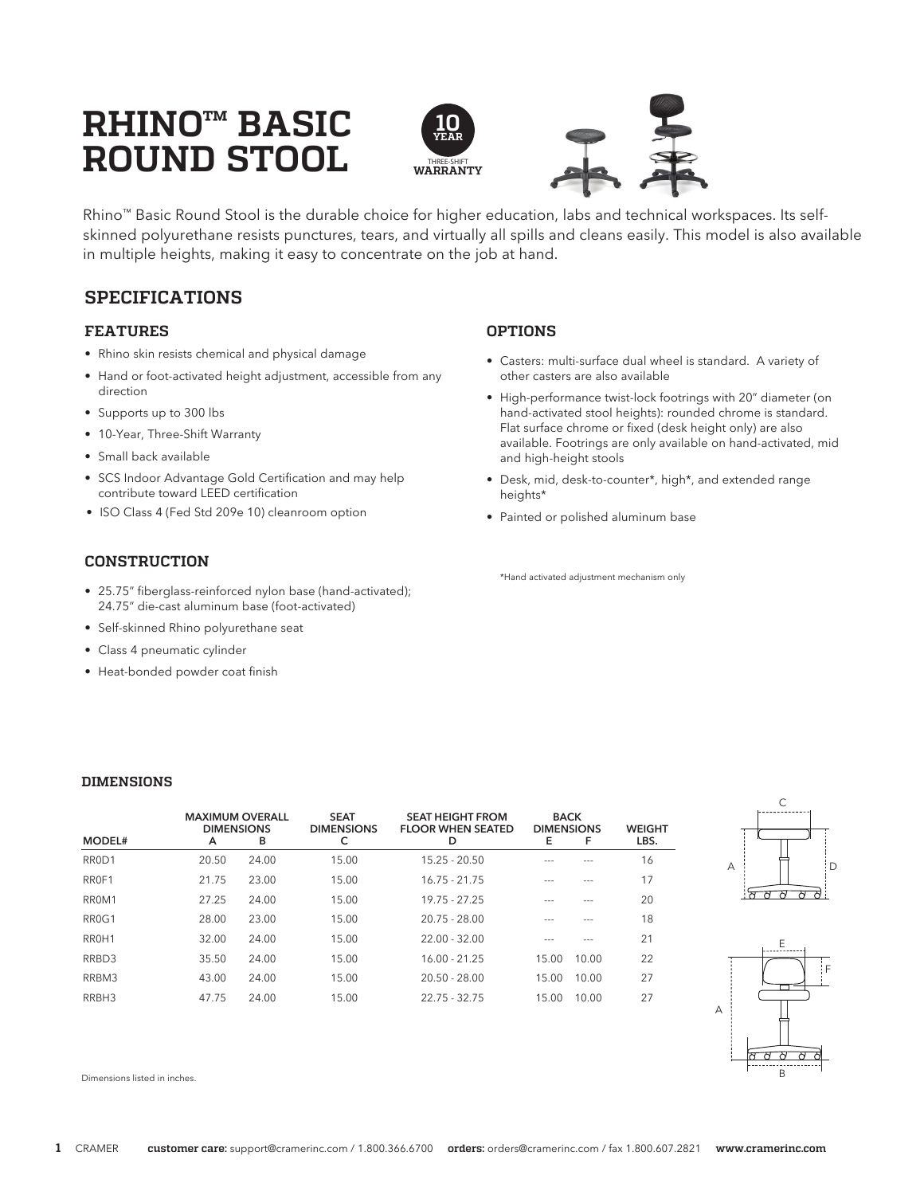# **RHINO™ BASIC ROUND STOOL**



Rhino™ Basic Round Stool is the durable choice for higher education, labs and technical workspaces. Its selfskinned polyurethane resists punctures, tears, and virtually all spills and cleans easily. This model is also available in multiple heights, making it easy to concentrate on the job at hand.

# **SPECIFICATIONS**

#### **FEATURES**

- Rhino skin resists chemical and physical damage
- Hand or foot-activated height adjustment, accessible from any direction
- Supports up to 300 lbs
- 10-Year, Three-Shift Warranty
- Small back available
- SCS Indoor Advantage Gold Certification and may help contribute toward LEED certification
- ISO Class 4 (Fed Std 209e 10) cleanroom option

#### **CONSTRUCTION**

- 25.75" fiberglass-reinforced nylon base (hand-activated); 24.75" die-cast aluminum base (foot-activated)
- Self-skinned Rhino polyurethane seat
- Class 4 pneumatic cylinder
- Heat-bonded powder coat finish

#### **OPTIONS**

- Casters: multi-surface dual wheel is standard. A variety of other casters are also available
- High-performance twist-lock footrings with 20" diameter (on hand-activated stool heights): rounded chrome is standard. Flat surface chrome or fixed (desk height only) are also available. Footrings are only available on hand-activated, mid and high-height stools
- Desk, mid, desk-to-counter\*, high\*, and extended range heights\*
- Painted or polished aluminum base

\*Hand activated adjustment mechanism only

#### **DIMENSIONS**

| MODEL#             | <b>MAXIMUM OVERALL</b><br><b>DIMENSIONS</b><br>A | в     | <b>SEAT</b><br><b>DIMENSIONS</b><br>c | <b>SEAT HEIGHT FROM</b><br><b>FLOOR WHEN SEATED</b><br>D | <b>BACK</b><br><b>DIMENSIONS</b><br>Е | F     | <b>WEIGHT</b><br>LBS. |
|--------------------|--------------------------------------------------|-------|---------------------------------------|----------------------------------------------------------|---------------------------------------|-------|-----------------------|
| RROD1              | 20.50                                            | 24.00 | 15.00                                 | $15.25 - 20.50$                                          |                                       |       | 16                    |
| RROF1              | 21.75                                            | 23.00 | 15.00                                 | $16.75 - 21.75$                                          |                                       |       | 17                    |
| RROM1              | 27.25                                            | 24.00 | 15.00                                 | $19.75 - 27.25$                                          |                                       |       | 20                    |
| RR <sub>0</sub> G1 | 28.00                                            | 23.00 | 15.00                                 | $20.75 - 28.00$                                          |                                       |       | 18                    |
| RR <sub>OH</sub> 1 | 32.00                                            | 24.00 | 15.00                                 | $22.00 - 32.00$                                          |                                       |       | 21                    |
| RRBD3              | 35.50                                            | 24.00 | 15.00                                 | $16.00 - 21.25$                                          | 15.00                                 | 10.00 | 22                    |
| RRBM3              | 43.00                                            | 24.00 | 15.00                                 | $20.50 - 28.00$                                          | 15.00                                 | 10.00 | 27                    |
| RRBH3              | 47.75                                            | 24.00 | 15.00                                 | $22.75 - 32.75$                                          | 15.00                                 | 10.00 | 27                    |





Dimensions listed in inches.